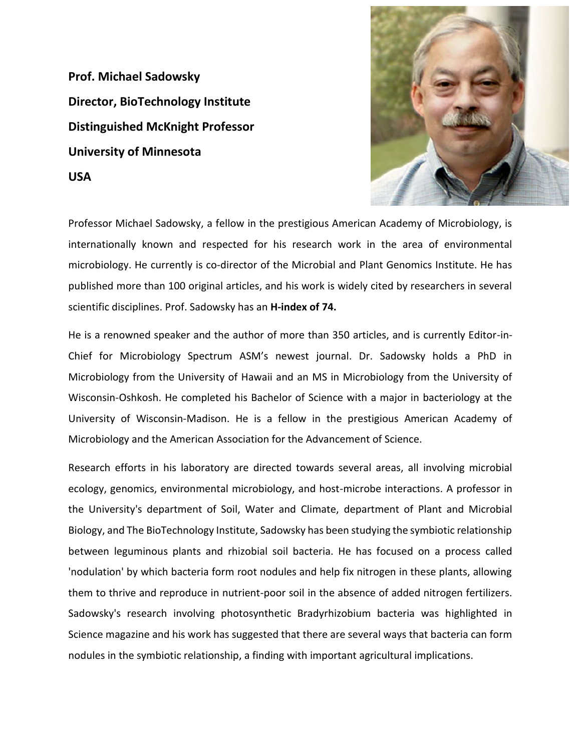**Prof. Michael Sadowsky Director, BioTechnology Institute Distinguished McKnight Professor University of Minnesota USA**



Professor Michael Sadowsky, a fellow in the prestigious American Academy of Microbiology, is internationally known and respected for his research work in the area of environmental microbiology. He currently is co-director of the Microbial and Plant Genomics Institute. He has published more than 100 original articles, and his work is widely cited by researchers in several scientific disciplines. Prof. Sadowsky has an **H-index of 74.**

He is a renowned speaker and the author of more than 350 articles, and is currently Editor-in-Chief for Microbiology Spectrum ASM's newest journal. Dr. Sadowsky holds a PhD in Microbiology from the University of Hawaii and an MS in Microbiology from the University of Wisconsin-Oshkosh. He completed his Bachelor of Science with a major in bacteriology at the University of Wisconsin-Madison. He is a fellow in the prestigious American Academy of Microbiology and the American Association for the Advancement of Science.

Research efforts in his laboratory are directed towards several areas, all involving microbial ecology, genomics, environmental microbiology, and host-microbe interactions. A professor in the University's department of Soil, Water and Climate, department of Plant and Microbial Biology, and The BioTechnology Institute, Sadowsky has been studying the symbiotic relationship between leguminous plants and rhizobial soil bacteria. He has focused on a process called 'nodulation' by which bacteria form root nodules and help fix nitrogen in these plants, allowing them to thrive and reproduce in nutrient-poor soil in the absence of added nitrogen fertilizers. Sadowsky's research involving photosynthetic Bradyrhizobium bacteria was highlighted in Science magazine and his work has suggested that there are several ways that bacteria can form nodules in the symbiotic relationship, a finding with important agricultural implications.